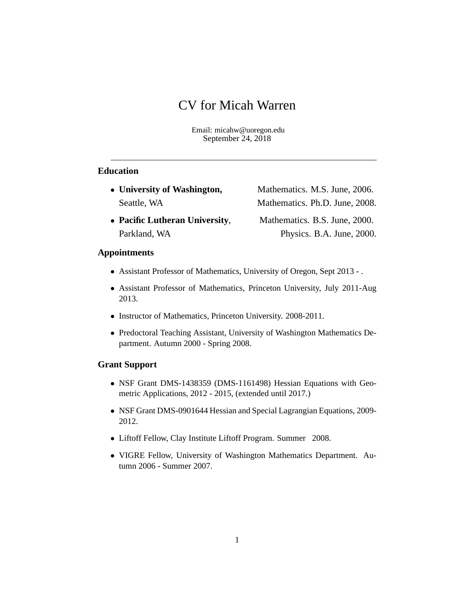# CV for Micah Warren

Email: micahw@uoregon.edu September 24, 2018

# **Education**

• University of Washington, Mathematics. M.S. June, 2006. Seattle, WA Mathematics. Ph.D. June, 2008. **Pacific Lutheran University**, Mathematics. B.S. June, 2000. Parkland, WA Physics. B.A. June, 2000.

#### **Appointments**

- Assistant Professor of Mathematics, University of Oregon, Sept 2013 .
- Assistant Professor of Mathematics, Princeton University, July 2011-Aug 2013.
- Instructor of Mathematics, Princeton University. 2008-2011.
- Predoctoral Teaching Assistant, University of Washington Mathematics Department. Autumn 2000 - Spring 2008.

# **Grant Support**

- NSF Grant DMS-1438359 (DMS-1161498) Hessian Equations with Geometric Applications, 2012 - 2015, (extended until 2017.)
- NSF Grant DMS-0901644 Hessian and Special Lagrangian Equations, 2009- 2012.
- Liftoff Fellow, Clay Institute Liftoff Program. Summer 2008.
- VIGRE Fellow, University of Washington Mathematics Department. Autumn 2006 - Summer 2007.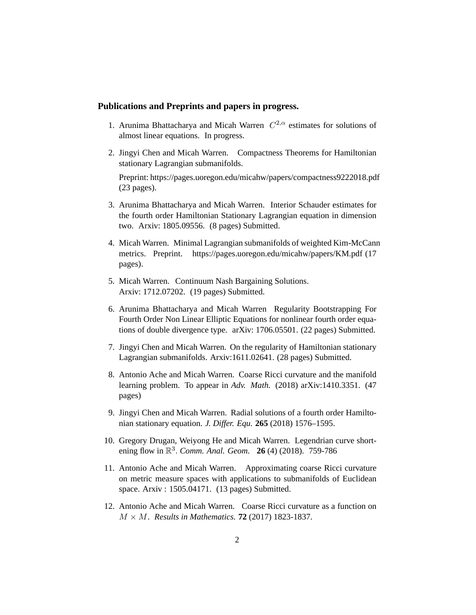#### **Publications and Preprints and papers in progress.**

- 1. Arunima Bhattacharya and Micah Warren  $C^{2,\alpha}$  estimates for solutions of almost linear equations. In progress.
- 2. Jingyi Chen and Micah Warren. Compactness Theorems for Hamiltonian stationary Lagrangian submanifolds.

Preprint: https://pages.uoregon.edu/micahw/papers/compactness9222018.pdf (23 pages).

- 3. Arunima Bhattacharya and Micah Warren. Interior Schauder estimates for the fourth order Hamiltonian Stationary Lagrangian equation in dimension two. Arxiv: 1805.09556. (8 pages) Submitted.
- 4. Micah Warren. Minimal Lagrangian submanifolds of weighted Kim-McCann metrics. Preprint. https://pages.uoregon.edu/micahw/papers/KM.pdf (17 pages).
- 5. Micah Warren. Continuum Nash Bargaining Solutions. Arxiv: 1712.07202. (19 pages) Submitted.
- 6. Arunima Bhattacharya and Micah Warren Regularity Bootstrapping For Fourth Order Non Linear Elliptic Equations for nonlinear fourth order equations of double divergence type. arXiv: 1706.05501. (22 pages) Submitted.
- 7. Jingyi Chen and Micah Warren. On the regularity of Hamiltonian stationary Lagrangian submanifolds. Arxiv:1611.02641. (28 pages) Submitted.
- 8. Antonio Ache and Micah Warren. Coarse Ricci curvature and the manifold learning problem. To appear in *Adv. Math.* (2018) arXiv:1410.3351. (47 pages)
- 9. Jingyi Chen and Micah Warren. Radial solutions of a fourth order Hamiltonian stationary equation. *J. Differ. Equ.* **265** (2018) 1576–1595.
- 10. Gregory Drugan, Weiyong He and Micah Warren. Legendrian curve shortening flow in R 3 : *Comm. Anal. Geom.* **26** (4) (2018). 759-786
- 11. Antonio Ache and Micah Warren. Approximating coarse Ricci curvature on metric measure spaces with applications to submanifolds of Euclidean space. Arxiv : 1505.04171. (13 pages) Submitted.
- 12. Antonio Ache and Micah Warren. Coarse Ricci curvature as a function on  $M \times M$ . *Results in Mathematics*. **72** (2017) 1823-1837.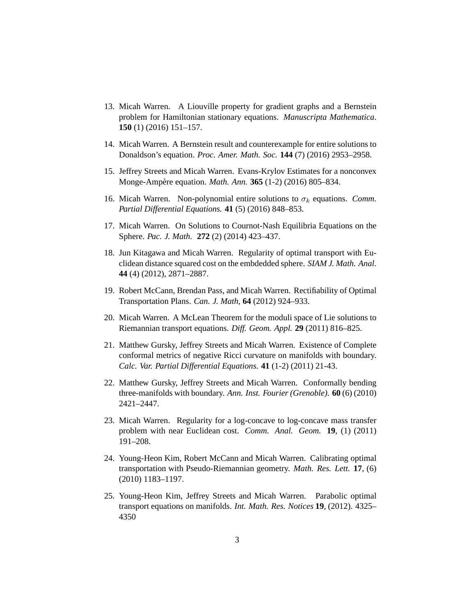- 13. Micah Warren. A Liouville property for gradient graphs and a Bernstein problem for Hamiltonian stationary equations. *Manuscripta Mathematica*. **150** (1) (2016) 151–157.
- 14. Micah Warren. A Bernstein result and counterexample for entire solutions to Donaldson's equation. *Proc. Amer. Math. Soc.* **144** (7) (2016) 2953–2958.
- 15. Jeffrey Streets and Micah Warren. Evans-Krylov Estimates for a nonconvex Monge-Ampère equation. *Math. Ann.* **365** (1-2) (2016) 805–834.
- 16. Micah Warren. Non-polynomial entire solutions to  $\sigma_k$  equations. *Comm. Partial Differential Equations.* **41** (5) (2016) 848–853.
- 17. Micah Warren. On Solutions to Cournot-Nash Equilibria Equations on the Sphere. *Pac. J. Math.* **272** (2) (2014) 423–437.
- 18. Jun Kitagawa and Micah Warren. Regularity of optimal transport with Euclidean distance squared cost on the embdedded sphere. *SIAM J. Math. Anal.* **44** (4) (2012), 2871–2887.
- 19. Robert McCann, Brendan Pass, and Micah Warren. Rectifiability of Optimal Transportation Plans. *Can. J. Math,* **64** (2012) 924–933.
- 20. Micah Warren. A McLean Theorem for the moduli space of Lie solutions to Riemannian transport equations. *Diff. Geom. Appl.* **29** (2011) 816–825.
- 21. Matthew Gursky, Jeffrey Streets and Micah Warren. Existence of Complete conformal metrics of negative Ricci curvature on manifolds with boundary. *Calc. Var. Partial Differential Equations.* **41** (1-2) (2011) 21-43.
- 22. Matthew Gursky, Jeffrey Streets and Micah Warren. Conformally bending three-manifolds with boundary. *Ann. Inst. Fourier (Grenoble).* **60** (6) (2010) 2421–2447.
- 23. Micah Warren. Regularity for a log-concave to log-concave mass transfer problem with near Euclidean cost. *Comm. Anal. Geom.* **19**, (1) (2011) 191–208.
- 24. Young-Heon Kim, Robert McCann and Micah Warren. Calibrating optimal transportation with Pseudo-Riemannian geometry. *Math. Res. Lett.* **17**, (6) (2010) 1183–1197.
- 25. Young-Heon Kim, Jeffrey Streets and Micah Warren. Parabolic optimal transport equations on manifolds. *Int. Math. Res. Notices* **19**, (2012). 4325– 4350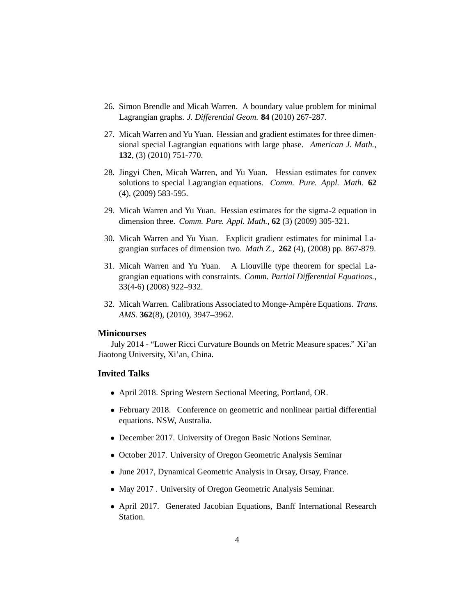- 26. Simon Brendle and Micah Warren. A boundary value problem for minimal Lagrangian graphs. *J. Differential Geom.* **84** (2010) 267-287.
- 27. Micah Warren and Yu Yuan. Hessian and gradient estimates for three dimensional special Lagrangian equations with large phase. *American J. Math.*, **132**, (3) (2010) 751-770.
- 28. Jingyi Chen, Micah Warren, and Yu Yuan. Hessian estimates for convex solutions to special Lagrangian equations. *Comm. Pure. Appl. Math.* **62** (4), (2009) 583-595.
- 29. Micah Warren and Yu Yuan. Hessian estimates for the sigma-2 equation in dimension three. *Comm. Pure. Appl. Math.*, **62** (3) (2009) 305-321.
- 30. Micah Warren and Yu Yuan. Explicit gradient estimates for minimal Lagrangian surfaces of dimension two. *Math Z.*, **262** (4), (2008) pp. 867-879.
- 31. Micah Warren and Yu Yuan. A Liouville type theorem for special Lagrangian equations with constraints. *Comm. Partial Differential Equations.*, 33(4-6) (2008) 922–932.
- 32. Micah Warren. Calibrations Associated to Monge-Ampère Equations. *Trans. AMS.* **362**(8), (2010), 3947–3962.

### **Minicourses**

July 2014 - "Lower Ricci Curvature Bounds on Metric Measure spaces." Xi'an Jiaotong University, Xi'an, China.

### **Invited Talks**

- April 2018. Spring Western Sectional Meeting, Portland, OR.
- February 2018. Conference on geometric and nonlinear partial differential equations. NSW, Australia.
- December 2017. University of Oregon Basic Notions Seminar.
- October 2017. University of Oregon Geometric Analysis Seminar
- June 2017, Dynamical Geometric Analysis in Orsay, Orsay, France.
- May 2017 . University of Oregon Geometric Analysis Seminar.
- April 2017. Generated Jacobian Equations, Banff International Research Station.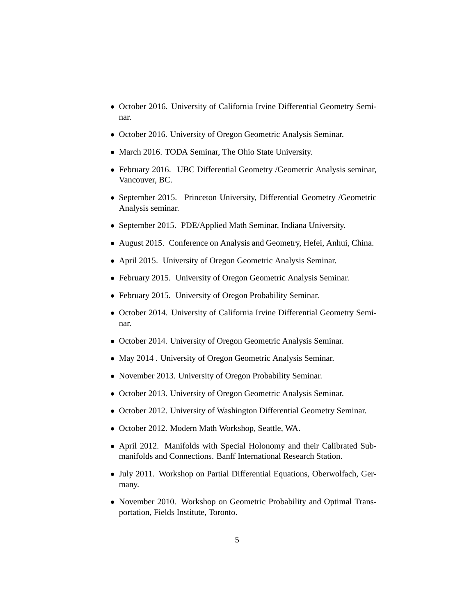- October 2016. University of California Irvine Differential Geometry Seminar.
- October 2016. University of Oregon Geometric Analysis Seminar.
- March 2016. TODA Seminar, The Ohio State University.
- February 2016. UBC Differential Geometry /Geometric Analysis seminar, Vancouver, BC.
- September 2015. Princeton University, Differential Geometry /Geometric Analysis seminar.
- September 2015. PDE/Applied Math Seminar, Indiana University.
- August 2015. Conference on Analysis and Geometry, Hefei, Anhui, China.
- April 2015. University of Oregon Geometric Analysis Seminar.
- February 2015. University of Oregon Geometric Analysis Seminar.
- February 2015. University of Oregon Probability Seminar.
- October 2014. University of California Irvine Differential Geometry Seminar.
- October 2014. University of Oregon Geometric Analysis Seminar.
- May 2014 . University of Oregon Geometric Analysis Seminar.
- November 2013. University of Oregon Probability Seminar.
- October 2013. University of Oregon Geometric Analysis Seminar.
- October 2012. University of Washington Differential Geometry Seminar.
- October 2012. Modern Math Workshop, Seattle, WA.
- April 2012. Manifolds with Special Holonomy and their Calibrated Submanifolds and Connections. Banff International Research Station.
- July 2011. Workshop on Partial Differential Equations, Oberwolfach, Germany.
- November 2010. Workshop on Geometric Probability and Optimal Transportation, Fields Institute, Toronto.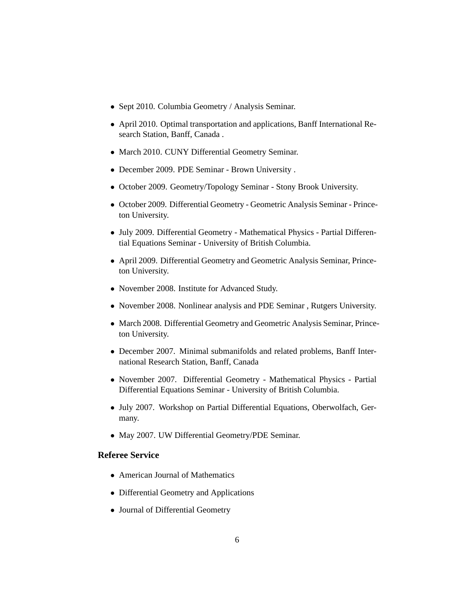- Sept 2010. Columbia Geometry / Analysis Seminar.
- April 2010. Optimal transportation and applications, Banff International Research Station, Banff, Canada .
- March 2010. CUNY Differential Geometry Seminar.
- December 2009. PDE Seminar Brown University .
- October 2009. Geometry/Topology Seminar Stony Brook University.
- October 2009. Differential Geometry Geometric Analysis Seminar Princeton University.
- July 2009. Differential Geometry Mathematical Physics Partial Differential Equations Seminar - University of British Columbia.
- April 2009. Differential Geometry and Geometric Analysis Seminar, Princeton University.
- November 2008. Institute for Advanced Study.
- November 2008. Nonlinear analysis and PDE Seminar , Rutgers University.
- March 2008. Differential Geometry and Geometric Analysis Seminar, Princeton University.
- December 2007. Minimal submanifolds and related problems, Banff International Research Station, Banff, Canada
- November 2007. Differential Geometry Mathematical Physics Partial Differential Equations Seminar - University of British Columbia.
- July 2007. Workshop on Partial Differential Equations, Oberwolfach, Germany.
- May 2007. UW Differential Geometry/PDE Seminar.

## **Referee Service**

- American Journal of Mathematics
- Differential Geometry and Applications
- Journal of Differential Geometry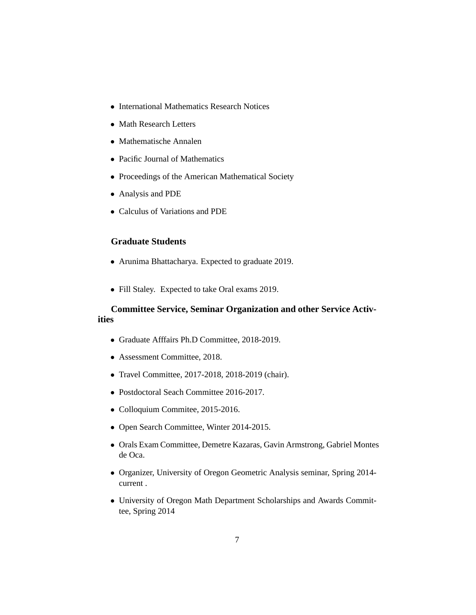- International Mathematics Research Notices
- Math Research Letters
- Mathematische Annalen
- Pacific Journal of Mathematics
- Proceedings of the American Mathematical Society
- Analysis and PDE
- Calculus of Variations and PDE

# **Graduate Students**

- Arunima Bhattacharya. Expected to graduate 2019.
- Fill Staley. Expected to take Oral exams 2019.

# **Committee Service, Seminar Organization and other Service Activities**

- Graduate Afffairs Ph.D Committee, 2018-2019.
- Assessment Committee, 2018.
- Travel Committee, 2017-2018, 2018-2019 (chair).
- Postdoctoral Seach Committee 2016-2017.
- Colloquium Commitee, 2015-2016.
- Open Search Committee, Winter 2014-2015.
- Orals Exam Committee, Demetre Kazaras, Gavin Armstrong, Gabriel Montes de Oca.
- Organizer, University of Oregon Geometric Analysis seminar, Spring 2014 current .
- University of Oregon Math Department Scholarships and Awards Committee, Spring 2014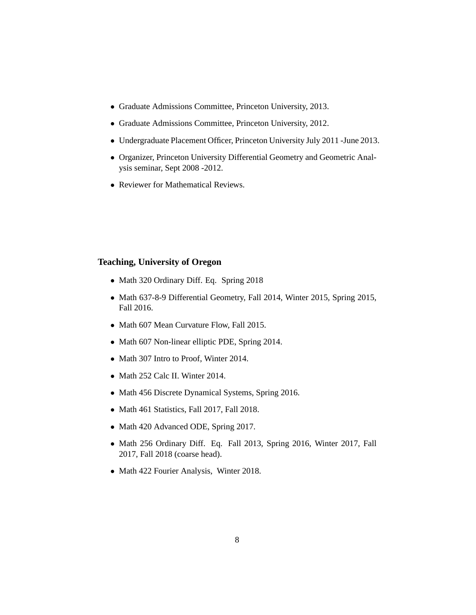- Graduate Admissions Committee, Princeton University, 2013.
- Graduate Admissions Committee, Princeton University, 2012.
- Undergraduate Placement Officer, Princeton University July 2011 -June 2013.
- Organizer, Princeton University Differential Geometry and Geometric Analysis seminar, Sept 2008 -2012.
- Reviewer for Mathematical Reviews.

## **Teaching, University of Oregon**

- Math 320 Ordinary Diff. Eq. Spring 2018
- Math 637-8-9 Differential Geometry, Fall 2014, Winter 2015, Spring 2015, Fall 2016.
- Math 607 Mean Curvature Flow, Fall 2015.
- Math 607 Non-linear elliptic PDE, Spring 2014.
- Math 307 Intro to Proof, Winter 2014.
- Math 252 Calc II. Winter 2014.
- Math 456 Discrete Dynamical Systems, Spring 2016.
- Math 461 Statistics, Fall 2017, Fall 2018.
- Math 420 Advanced ODE, Spring 2017.
- Math 256 Ordinary Diff. Eq. Fall 2013, Spring 2016, Winter 2017, Fall 2017, Fall 2018 (coarse head).
- Math 422 Fourier Analysis, Winter 2018.